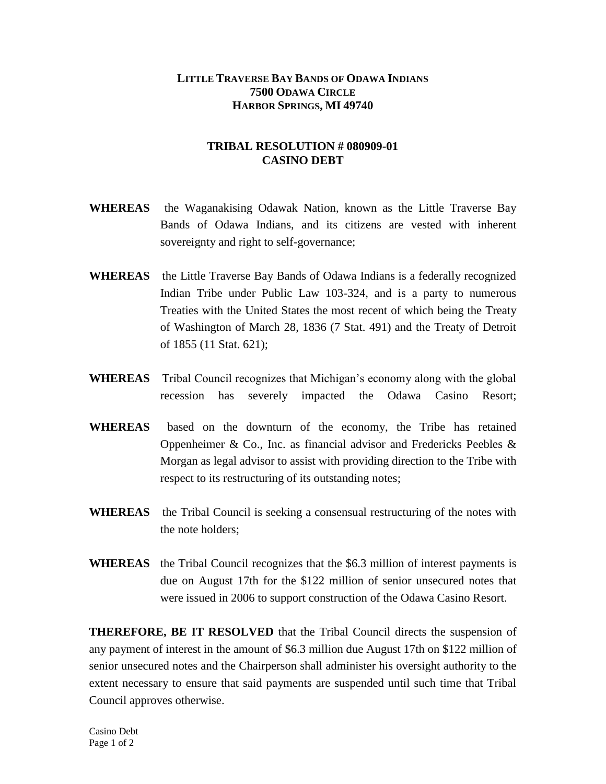## **LITTLE TRAVERSE BAY BANDS OF ODAWA INDIANS 7500 ODAWA CIRCLE HARBOR SPRINGS, MI 49740**

## **TRIBAL RESOLUTION # 080909-01 CASINO DEBT**

- **WHEREAS** the Waganakising Odawak Nation, known as the Little Traverse Bay Bands of Odawa Indians, and its citizens are vested with inherent sovereignty and right to self-governance;
- **WHEREAS** the Little Traverse Bay Bands of Odawa Indians is a federally recognized Indian Tribe under Public Law 103-324, and is a party to numerous Treaties with the United States the most recent of which being the Treaty of Washington of March 28, 1836 (7 Stat. 491) and the Treaty of Detroit of 1855 (11 Stat. 621);
- **WHEREAS** Tribal Council recognizes that Michigan's economy along with the global recession has severely impacted the Odawa Casino Resort;
- **WHEREAS** based on the downturn of the economy, the Tribe has retained Oppenheimer & Co., Inc. as financial advisor and Fredericks Peebles & Morgan as legal advisor to assist with providing direction to the Tribe with respect to its restructuring of its outstanding notes;
- **WHEREAS** the Tribal Council is seeking a consensual restructuring of the notes with the note holders;
- **WHEREAS** the Tribal Council recognizes that the \$6.3 million of interest payments is due on August 17th for the \$122 million of senior unsecured notes that were issued in 2006 to support construction of the Odawa Casino Resort.

**THEREFORE, BE IT RESOLVED** that the Tribal Council directs the suspension of any payment of interest in the amount of \$6.3 million due August 17th on \$122 million of senior unsecured notes and the Chairperson shall administer his oversight authority to the extent necessary to ensure that said payments are suspended until such time that Tribal Council approves otherwise.